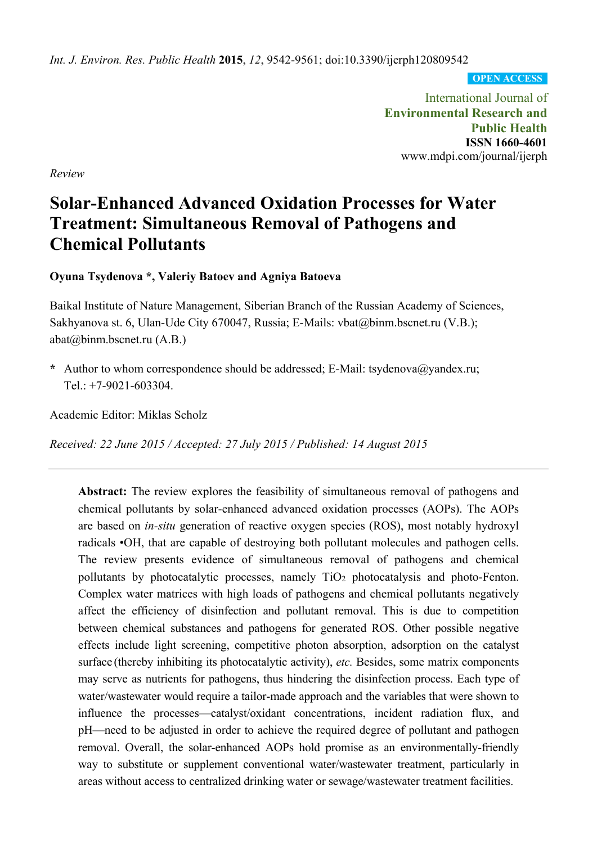*Int. J. Environ. Res. Public Health* **2015**, *12*, 9542-9561; doi:10.3390/ijerph120809542

**OPEN ACCESS**

International Journal of **Environmental Research and Public Health ISSN 1660-4601**  www.mdpi.com/journal/ijerph

*Review* 

# **Solar-Enhanced Advanced Oxidation Processes for Water Treatment: Simultaneous Removal of Pathogens and Chemical Pollutants**

**Oyuna Tsydenova \*, Valeriy Batoev and Agniya Batoeva** 

Baikal Institute of Nature Management, Siberian Branch of the Russian Academy of Sciences, Sakhyanova st. 6, Ulan-Ude City 670047, Russia; E-Mails: vbat@binm.bscnet.ru (V.B.); abat@binm.bscnet.ru (A.B.)

**\*** Author to whom correspondence should be addressed; E-Mail: tsydenova@yandex.ru; Tel.: +7-9021-603304.

Academic Editor: Miklas Scholz

*Received: 22 June 2015 / Accepted: 27 July 2015 / Published: 14 August 2015* 

**Abstract:** The review explores the feasibility of simultaneous removal of pathogens and chemical pollutants by solar-enhanced advanced oxidation processes (AOPs). The AOPs are based on *in-situ* generation of reactive oxygen species (ROS), most notably hydroxyl radicals •OH, that are capable of destroying both pollutant molecules and pathogen cells. The review presents evidence of simultaneous removal of pathogens and chemical pollutants by photocatalytic processes, namely TiO2 photocatalysis and photo-Fenton. Complex water matrices with high loads of pathogens and chemical pollutants negatively affect the efficiency of disinfection and pollutant removal. This is due to competition between chemical substances and pathogens for generated ROS. Other possible negative effects include light screening, competitive photon absorption, adsorption on the catalyst surface (thereby inhibiting its photocatalytic activity), *etc.* Besides, some matrix components may serve as nutrients for pathogens, thus hindering the disinfection process. Each type of water/wastewater would require a tailor-made approach and the variables that were shown to influence the processes—catalyst/oxidant concentrations, incident radiation flux, and pH—need to be adjusted in order to achieve the required degree of pollutant and pathogen removal. Overall, the solar-enhanced AOPs hold promise as an environmentally-friendly way to substitute or supplement conventional water/wastewater treatment, particularly in areas without access to centralized drinking water or sewage/wastewater treatment facilities.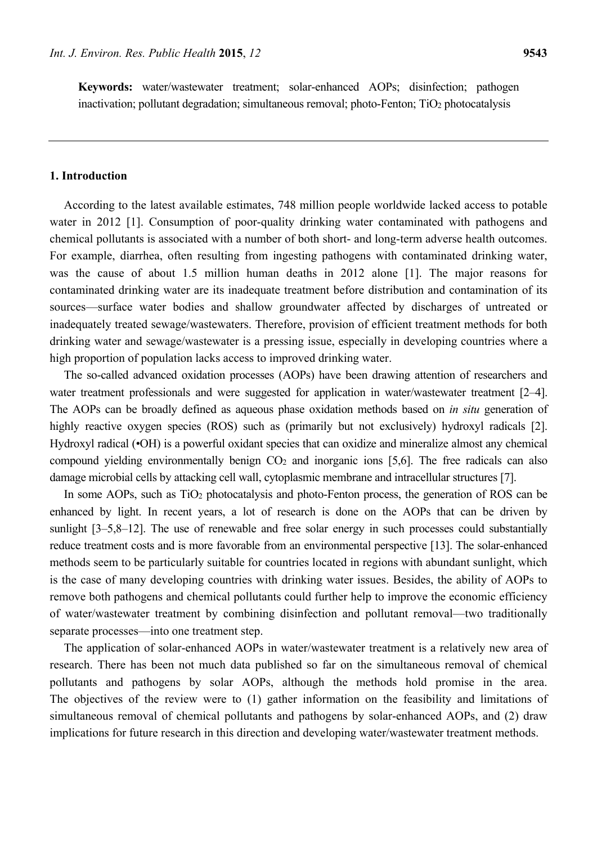**Keywords:** water/wastewater treatment; solar-enhanced AOPs; disinfection; pathogen inactivation; pollutant degradation; simultaneous removal; photo-Fenton;  $TiO<sub>2</sub>$  photocatalysis

## **1. Introduction**

According to the latest available estimates, 748 million people worldwide lacked access to potable water in 2012 [1]. Consumption of poor-quality drinking water contaminated with pathogens and chemical pollutants is associated with a number of both short- and long-term adverse health outcomes. For example, diarrhea, often resulting from ingesting pathogens with contaminated drinking water, was the cause of about 1.5 million human deaths in 2012 alone [1]. The major reasons for contaminated drinking water are its inadequate treatment before distribution and contamination of its sources—surface water bodies and shallow groundwater affected by discharges of untreated or inadequately treated sewage/wastewaters. Therefore, provision of efficient treatment methods for both drinking water and sewage/wastewater is a pressing issue, especially in developing countries where a high proportion of population lacks access to improved drinking water.

The so-called advanced oxidation processes (AOPs) have been drawing attention of researchers and water treatment professionals and were suggested for application in water/wastewater treatment [2–4]. The AOPs can be broadly defined as aqueous phase oxidation methods based on *in situ* generation of highly reactive oxygen species (ROS) such as (primarily but not exclusively) hydroxyl radicals [2]. Hydroxyl radical (•OH) is a powerful oxidant species that can oxidize and mineralize almost any chemical compound yielding environmentally benign CO2 and inorganic ions [5,6]. The free radicals can also damage microbial cells by attacking cell wall, cytoplasmic membrane and intracellular structures [7].

In some AOPs, such as TiO<sub>2</sub> photocatalysis and photo-Fenton process, the generation of ROS can be enhanced by light. In recent years, a lot of research is done on the AOPs that can be driven by sunlight [3–5,8–12]. The use of renewable and free solar energy in such processes could substantially reduce treatment costs and is more favorable from an environmental perspective [13]. The solar-enhanced methods seem to be particularly suitable for countries located in regions with abundant sunlight, which is the case of many developing countries with drinking water issues. Besides, the ability of AOPs to remove both pathogens and chemical pollutants could further help to improve the economic efficiency of water/wastewater treatment by combining disinfection and pollutant removal—two traditionally separate processes—into one treatment step.

The application of solar-enhanced AOPs in water/wastewater treatment is a relatively new area of research. There has been not much data published so far on the simultaneous removal of chemical pollutants and pathogens by solar AOPs, although the methods hold promise in the area. The objectives of the review were to (1) gather information on the feasibility and limitations of simultaneous removal of chemical pollutants and pathogens by solar-enhanced AOPs, and (2) draw implications for future research in this direction and developing water/wastewater treatment methods.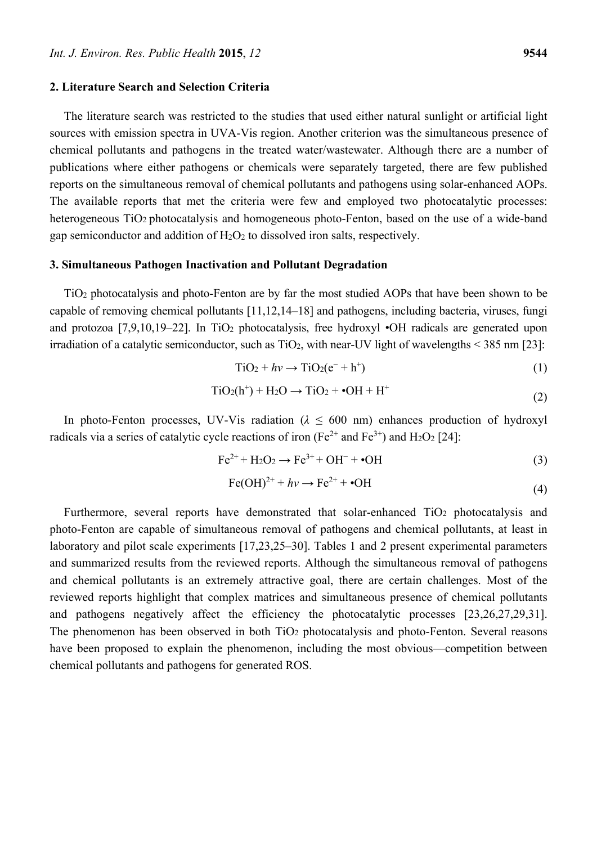#### **2. Literature Search and Selection Criteria**

The literature search was restricted to the studies that used either natural sunlight or artificial light sources with emission spectra in UVA-Vis region. Another criterion was the simultaneous presence of chemical pollutants and pathogens in the treated water/wastewater. Although there are a number of publications where either pathogens or chemicals were separately targeted, there are few published reports on the simultaneous removal of chemical pollutants and pathogens using solar-enhanced AOPs. The available reports that met the criteria were few and employed two photocatalytic processes: heterogeneous TiO<sub>2</sub> photocatalysis and homogeneous photo-Fenton, based on the use of a wide-band gap semiconductor and addition of H2O2 to dissolved iron salts, respectively.

#### **3. Simultaneous Pathogen Inactivation and Pollutant Degradation**

TiO2 photocatalysis and photo-Fenton are by far the most studied AOPs that have been shown to be capable of removing chemical pollutants [11,12,14–18] and pathogens, including bacteria, viruses, fungi and protozoa  $[7,9,10,19-22]$ . In TiO<sub>2</sub> photocatalysis, free hydroxyl •OH radicals are generated upon irradiation of a catalytic semiconductor, such as  $TiO<sub>2</sub>$ , with near-UV light of wavelengths < 385 nm [23]:

$$
TiO2 + hv \rightarrow TiO2(e^- + h^+)
$$
 (1)

$$
TiO2(h+) + H2O \rightarrow TiO2 + •OH + H+
$$
 (2)

In photo-Fenton processes, UV-Vis radiation ( $\lambda \leq 600$  nm) enhances production of hydroxyl radicals via a series of catalytic cycle reactions of iron (Fe<sup>2+</sup> and Fe<sup>3+</sup>) and H<sub>2</sub>O<sub>2</sub> [24]:

$$
\text{Fe}^{2+} + \text{H}_2\text{O}_2 \rightarrow \text{Fe}^{3+} + \text{OH}^- + \bullet \text{OH} \tag{3}
$$

$$
Fe(OH)^{2+} + hv \rightarrow Fe^{2+} + \bullet OH
$$
 (4)

Furthermore, several reports have demonstrated that solar-enhanced TiO<sub>2</sub> photocatalysis and photo-Fenton are capable of simultaneous removal of pathogens and chemical pollutants, at least in laboratory and pilot scale experiments [17,23,25–30]. Tables 1 and 2 present experimental parameters and summarized results from the reviewed reports. Although the simultaneous removal of pathogens and chemical pollutants is an extremely attractive goal, there are certain challenges. Most of the reviewed reports highlight that complex matrices and simultaneous presence of chemical pollutants and pathogens negatively affect the efficiency the photocatalytic processes [23,26,27,29,31]. The phenomenon has been observed in both TiO<sub>2</sub> photocatalysis and photo-Fenton. Several reasons have been proposed to explain the phenomenon, including the most obvious—competition between chemical pollutants and pathogens for generated ROS.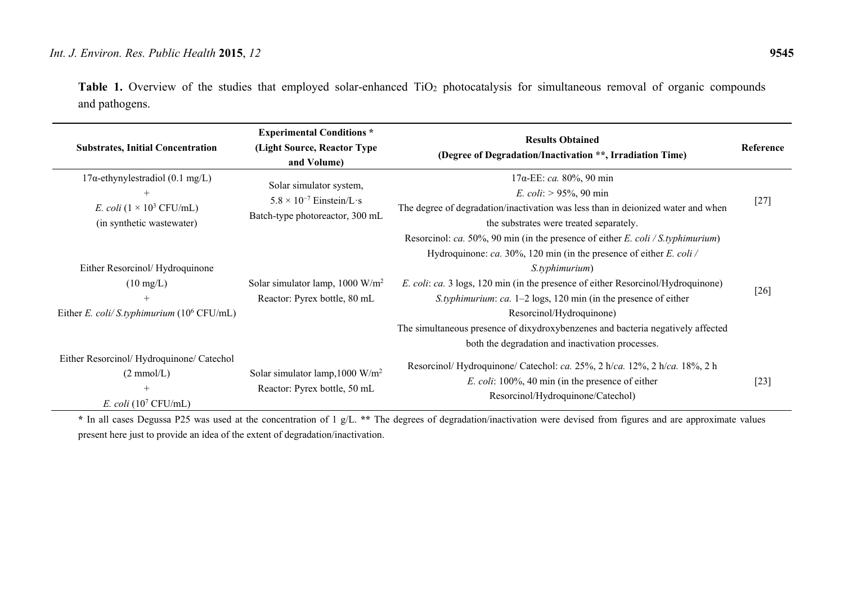Table 1. Overview of the studies that employed solar-enhanced TiO<sub>2</sub> photocatalysis for simultaneous removal of organic compounds and pathogens.

| <b>Substrates, Initial Concentration</b>                                                                         | <b>Experimental Conditions *</b><br>(Light Source, Reactor Type<br>and Volume)                  | <b>Results Obtained</b><br>(Degree of Degradation/Inactivation **, Irradiation Time)                                                                                                                                                                                                                                                                                                                                                                                                                        | Reference |
|------------------------------------------------------------------------------------------------------------------|-------------------------------------------------------------------------------------------------|-------------------------------------------------------------------------------------------------------------------------------------------------------------------------------------------------------------------------------------------------------------------------------------------------------------------------------------------------------------------------------------------------------------------------------------------------------------------------------------------------------------|-----------|
| $17\alpha$ -ethynylestradiol (0.1 mg/L)<br>E. coli $(1 \times 10^3 \text{ CFU/mL})$<br>(in synthetic wastewater) | Solar simulator system,<br>$5.8 \times 10^{-7}$ Einstein/L s<br>Batch-type photoreactor, 300 mL | $17\alpha$ -EE: <i>ca</i> . 80%, 90 min<br><i>E. coli:</i> $> 95\%$ , 90 min<br>The degree of degradation/inactivation was less than in deionized water and when<br>the substrates were treated separately.                                                                                                                                                                                                                                                                                                 | $[27]$    |
| Either Resorcinol/Hydroquinone<br>$(10 \text{ mg/L})$<br>Either E. coli/ S.typhimurium $(10^6 \text{ CFU/mL})$   | Solar simulator lamp, $1000 \text{ W/m}^2$<br>Reactor: Pyrex bottle, 80 mL                      | Resorcinol: ca. 50%, 90 min (in the presence of either E. coli / S.typhimurium)<br>Hydroquinone: ca. 30%, 120 min (in the presence of either E. coli /<br>S.typhimurium)<br><i>E. coli: ca.</i> 3 logs, 120 min (in the presence of either Resorcinol/Hydroquinone)<br>S.typhimurium: ca. $1-2$ logs, 120 min (in the presence of either<br>Resorcinol/Hydroquinone)<br>The simultaneous presence of dixydroxybenzenes and bacteria negatively affected<br>both the degradation and inactivation processes. | [26]      |
| Either Resorcinol/Hydroquinone/Catechol<br>$(2 \text{ mmol/L})$<br>$^{+}$<br>E. coli $(10^7 \text{ CFU/mL})$     | Solar simulator lamp, $1000 \text{ W/m}^2$<br>Reactor: Pyrex bottle, 50 mL                      | Resorcinol/ Hydroquinone/ Catechol: ca. 25%, 2 h/ca. 12%, 2 h/ca. 18%, 2 h<br><i>E. coli:</i> 100%, 40 min (in the presence of either<br>Resorcinol/Hydroquinone/Catechol)                                                                                                                                                                                                                                                                                                                                  | [23]      |

**\*** In all cases Degussa P25 was used at the concentration of 1 g/L. **\*\*** The degrees of degradation/inactivation were devised from figures and are approximate values present here just to provide an idea of the extent of degradation/inactivation.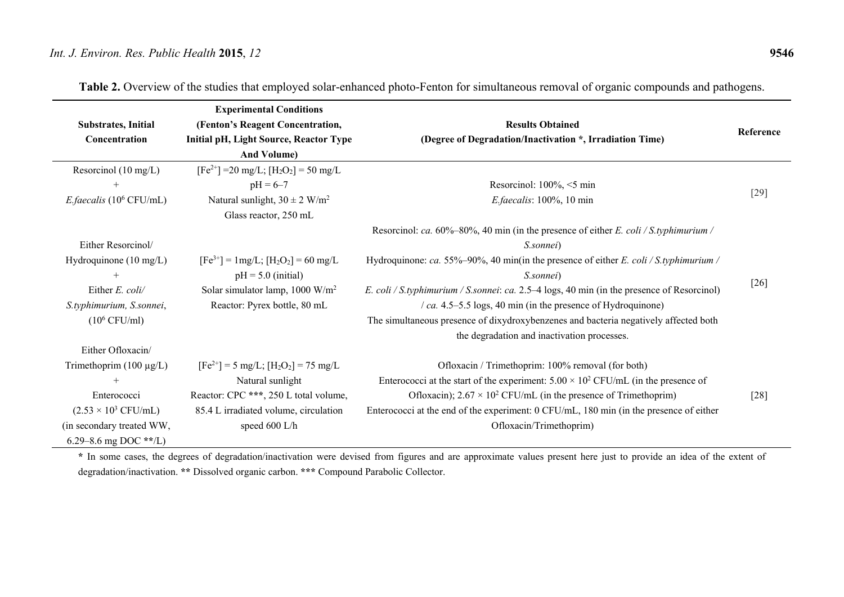**Experimental Conditions (Fenton's Reagent Concentration, Initial pH, Light Source, Reactor Type And Volume)** 

 $[Fe^{2+}]$  =20 mg/L;  $[H_2O_2]$  = 50 mg/L  $pH = 6-7$ 

**Substrates, Initial Concentration** 

Resorcinol (10 mg/L)  $^{+}$ 

| ed photo-Fenton for simultaneous removal of organic compounds and pathogens.        |           |  |  |  |
|-------------------------------------------------------------------------------------|-----------|--|--|--|
| <b>Results Obtained</b><br>(Degree of Degradation/Inactivation *, Irradiation Time) | Reference |  |  |  |
| Resorcinol: $100\% \leq 5$ min<br><i>E.faecalis:</i> $100\%$ , $10 \text{ min}$     | [29]      |  |  |  |

Table 2. Overview of the studies that employed solar-enhance

| E.faecalis $(10^6 \text{ CFU/mL})$  | Natural sunlight, $30 \pm 2$ W/m <sup>2</sup> | $E$ : faecalis: 100%, 10 min                                                                      | $\lfloor 29 \rfloor$ |
|-------------------------------------|-----------------------------------------------|---------------------------------------------------------------------------------------------------|----------------------|
|                                     | Glass reactor, 250 mL                         |                                                                                                   |                      |
|                                     |                                               | Resorcinol: ca. $60\% - 80\%$ , 40 min (in the presence of either E. coli / S.typhimurium /       |                      |
| Either Resorcinol/                  |                                               | S.sonnei)                                                                                         |                      |
| Hydroquinone $(10 \text{ mg/L})$    | $[Fe3+] = 1mg/L$ ; $[H2O2] = 60 mg/L$         | Hydroquinone: ca. 55%–90%, 40 min(in the presence of either E. coli / S.typhimurium /             |                      |
| $^{+}$                              | $pH = 5.0$ (initial)                          | S.sonnei)                                                                                         |                      |
| Either E. coli/                     | Solar simulator lamp, 1000 $W/m^2$            | <i>E. coli / S.typhimurium / S.sonnei: ca.</i> 2.5–4 logs, 40 min (in the presence of Resorcinol) | $\lceil 26 \rceil$   |
| S.typhimurium, S.sonnei,            | Reactor: Pyrex bottle, 80 mL                  | $\sqrt{ca}$ . 4.5–5.5 logs, 40 min (in the presence of Hydroquinone)                              |                      |
| $(10^6 \text{ CFU/ml})$             |                                               | The simultaneous presence of dixydroxybenzenes and bacteria negatively affected both              |                      |
|                                     |                                               | the degradation and inactivation processes.                                                       |                      |
| Either Ofloxacin/                   |                                               |                                                                                                   |                      |
| Trimethoprim $(100 \mu g/L)$        | $[Fe^{2+}]$ = 5 mg/L; $[H_2O_2]$ = 75 mg/L    | Ofloxacin / Trimethoprim: 100% removal (for both)                                                 |                      |
| $^{+}$                              | Natural sunlight                              | Enterococci at the start of the experiment: $5.00 \times 10^2$ CFU/mL (in the presence of         |                      |
| Enterococci                         | Reactor: CPC ***, 250 L total volume,         | Ofloxacin); $2.67 \times 10^2$ CFU/mL (in the presence of Trimethoprim)                           | [28]                 |
| $(2.53 \times 10^3 \text{ CFU/mL})$ | 85.4 L irradiated volume, circulation         | Enterococci at the end of the experiment: 0 CFU/mL, 180 min (in the presence of either            |                      |
| (in secondary treated WW,           | speed $600$ L/h                               | Ofloxacin/Trimethoprim)                                                                           |                      |
| 6.29–8.6 mg DOC **/L)               |                                               |                                                                                                   |                      |

**\*** In some cases, the degrees of degradation/inactivation were devised from figures and are approximate values present here just to provide an idea of the extent of degradation/inactivation. **\*\*** Dissolved organic carbon. **\*\*\*** Compound Parabolic Collector.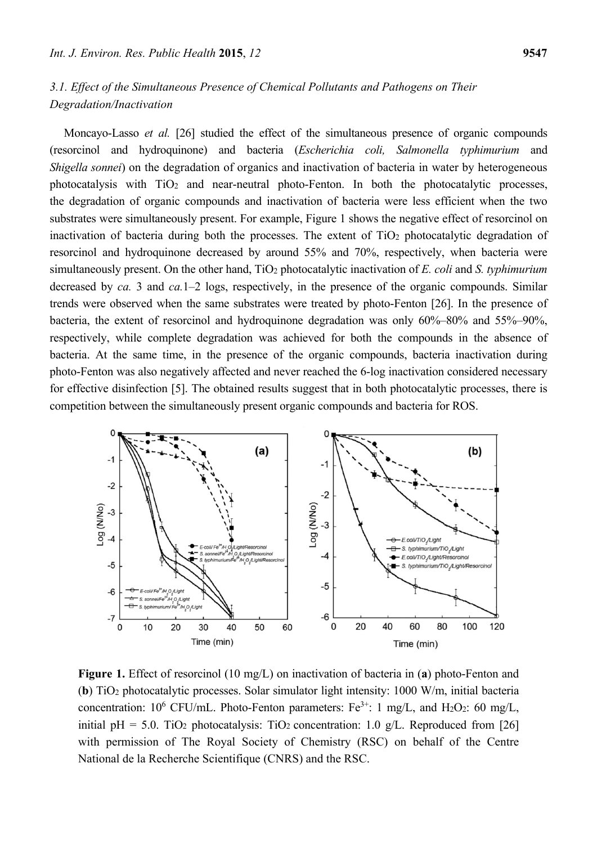# *3.1. Effect of the Simultaneous Presence of Chemical Pollutants and Pathogens on Their Degradation/Inactivation*

Moncayo-Lasso *et al.* [26] studied the effect of the simultaneous presence of organic compounds (resorcinol and hydroquinone) and bacteria (*Escherichia coli, Salmonella typhimurium* and *Shigella sonnei*) on the degradation of organics and inactivation of bacteria in water by heterogeneous photocatalysis with TiO2 and near-neutral photo-Fenton. In both the photocatalytic processes, the degradation of organic compounds and inactivation of bacteria were less efficient when the two substrates were simultaneously present. For example, Figure 1 shows the negative effect of resorcinol on inactivation of bacteria during both the processes. The extent of TiO<sub>2</sub> photocatalytic degradation of resorcinol and hydroquinone decreased by around 55% and 70%, respectively, when bacteria were simultaneously present. On the other hand, TiO2 photocatalytic inactivation of *E. coli* and *S. typhimurium* decreased by *ca.* 3 and *ca.*1–2 logs, respectively, in the presence of the organic compounds. Similar trends were observed when the same substrates were treated by photo-Fenton [26]. In the presence of bacteria, the extent of resorcinol and hydroquinone degradation was only 60%–80% and 55%–90%, respectively, while complete degradation was achieved for both the compounds in the absence of bacteria. At the same time, in the presence of the organic compounds, bacteria inactivation during photo-Fenton was also negatively affected and never reached the 6-log inactivation considered necessary for effective disinfection [5]. The obtained results suggest that in both photocatalytic processes, there is competition between the simultaneously present organic compounds and bacteria for ROS.



**Figure 1.** Effect of resorcinol (10 mg/L) on inactivation of bacteria in (**a**) photo-Fenton and (**b**) TiO2 photocatalytic processes. Solar simulator light intensity: 1000 W/m, initial bacteria concentration:  $10^6$  CFU/mL. Photo-Fenton parameters: Fe<sup>3+</sup>: 1 mg/L, and H<sub>2</sub>O<sub>2</sub>: 60 mg/L, initial pH = 5.0. TiO<sub>2</sub> photocatalysis: TiO<sub>2</sub> concentration: 1.0 g/L. Reproduced from [26] with permission of The Royal Society of Chemistry (RSC) on behalf of the Centre National de la Recherche Scientifique (CNRS) and the RSC.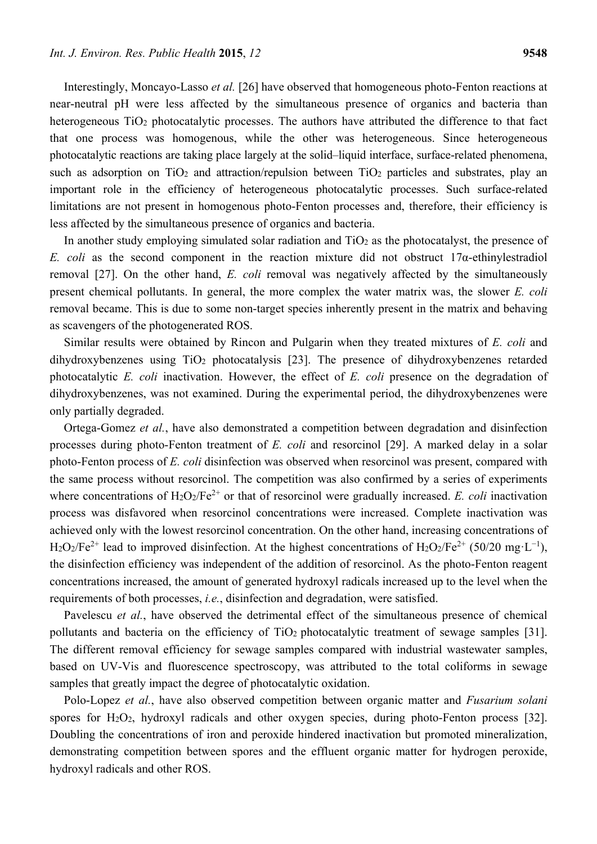Interestingly, Moncayo-Lasso *et al.* [26] have observed that homogeneous photo-Fenton reactions at near-neutral pH were less affected by the simultaneous presence of organics and bacteria than heterogeneous TiO<sub>2</sub> photocatalytic processes. The authors have attributed the difference to that fact that one process was homogenous, while the other was heterogeneous. Since heterogeneous photocatalytic reactions are taking place largely at the solid–liquid interface, surface-related phenomena, such as adsorption on  $TiO<sub>2</sub>$  and attraction/repulsion between  $TiO<sub>2</sub>$  particles and substrates, play an important role in the efficiency of heterogeneous photocatalytic processes. Such surface-related limitations are not present in homogenous photo-Fenton processes and, therefore, their efficiency is less affected by the simultaneous presence of organics and bacteria.

In another study employing simulated solar radiation and  $TiO<sub>2</sub>$  as the photocatalyst, the presence of *E. coli* as the second component in the reaction mixture did not obstruct 17α-ethinylestradiol removal [27]. On the other hand, *E. coli* removal was negatively affected by the simultaneously present chemical pollutants. In general, the more complex the water matrix was, the slower *E. coli* removal became. This is due to some non-target species inherently present in the matrix and behaving as scavengers of the photogenerated ROS.

Similar results were obtained by Rincon and Pulgarin when they treated mixtures of *E. coli* and dihydroxybenzenes using TiO<sub>2</sub> photocatalysis [23]. The presence of dihydroxybenzenes retarded photocatalytic *E. coli* inactivation. However, the effect of *E. coli* presence on the degradation of dihydroxybenzenes, was not examined. During the experimental period, the dihydroxybenzenes were only partially degraded.

Ortega-Gomez *et al.*, have also demonstrated a competition between degradation and disinfection processes during photo-Fenton treatment of *E. coli* and resorcinol [29]. A marked delay in a solar photo-Fenton process of *E. coli* disinfection was observed when resorcinol was present, compared with the same process without resorcinol. The competition was also confirmed by a series of experiments where concentrations of  $H_2O_2/Fe^{2+}$  or that of resorcinol were gradually increased. *E. coli* inactivation process was disfavored when resorcinol concentrations were increased. Complete inactivation was achieved only with the lowest resorcinol concentration. On the other hand, increasing concentrations of  $H_2O_2/Fe^{2+}$  lead to improved disinfection. At the highest concentrations of  $H_2O_2/Fe^{2+}$  (50/20 mg·L<sup>-1</sup>), the disinfection efficiency was independent of the addition of resorcinol. As the photo-Fenton reagent concentrations increased, the amount of generated hydroxyl radicals increased up to the level when the requirements of both processes, *i.e.*, disinfection and degradation, were satisfied.

Pavelescu *et al.*, have observed the detrimental effect of the simultaneous presence of chemical pollutants and bacteria on the efficiency of TiO<sub>2</sub> photocatalytic treatment of sewage samples [31]. The different removal efficiency for sewage samples compared with industrial wastewater samples, based on UV-Vis and fluorescence spectroscopy, was attributed to the total coliforms in sewage samples that greatly impact the degree of photocatalytic oxidation.

Polo-Lopez *et al.*, have also observed competition between organic matter and *Fusarium solani* spores for H2O2, hydroxyl radicals and other oxygen species, during photo-Fenton process [32]. Doubling the concentrations of iron and peroxide hindered inactivation but promoted mineralization, demonstrating competition between spores and the effluent organic matter for hydrogen peroxide, hydroxyl radicals and other ROS.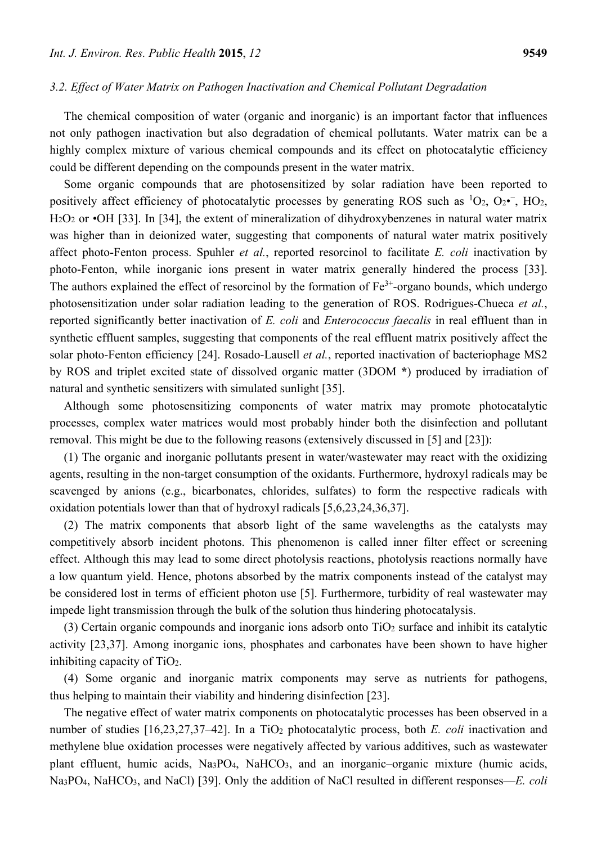#### *3.2. Effect of Water Matrix on Pathogen Inactivation and Chemical Pollutant Degradation*

The chemical composition of water (organic and inorganic) is an important factor that influences not only pathogen inactivation but also degradation of chemical pollutants. Water matrix can be a highly complex mixture of various chemical compounds and its effect on photocatalytic efficiency could be different depending on the compounds present in the water matrix.

Some organic compounds that are photosensitized by solar radiation have been reported to positively affect efficiency of photocatalytic processes by generating ROS such as  ${}^{1}O_{2}$ ,  $O_{2}$ <sup>-</sup>, HO<sub>2</sub>, H2O2 or •OH [33]. In [34], the extent of mineralization of dihydroxybenzenes in natural water matrix was higher than in deionized water, suggesting that components of natural water matrix positively affect photo-Fenton process. Spuhler *et al.*, reported resorcinol to facilitate *E. coli* inactivation by photo-Fenton, while inorganic ions present in water matrix generally hindered the process [33]. The authors explained the effect of resorcinol by the formation of  $Fe<sup>3+</sup>$ -organo bounds, which undergo photosensitization under solar radiation leading to the generation of ROS. Rodrigues-Chueca *et al.*, reported significantly better inactivation of *E. coli* and *Enterococcus faecalis* in real effluent than in synthetic effluent samples, suggesting that components of the real effluent matrix positively affect the solar photo-Fenton efficiency [24]. Rosado-Lausell *et al.*, reported inactivation of bacteriophage MS2 by ROS and triplet excited state of dissolved organic matter (3DOM **\***) produced by irradiation of natural and synthetic sensitizers with simulated sunlight [35].

Although some photosensitizing components of water matrix may promote photocatalytic processes, complex water matrices would most probably hinder both the disinfection and pollutant removal. This might be due to the following reasons (extensively discussed in [5] and [23]):

(1) The organic and inorganic pollutants present in water/wastewater may react with the oxidizing agents, resulting in the non-target consumption of the oxidants. Furthermore, hydroxyl radicals may be scavenged by anions (e.g., bicarbonates, chlorides, sulfates) to form the respective radicals with oxidation potentials lower than that of hydroxyl radicals [5,6,23,24,36,37].

(2) The matrix components that absorb light of the same wavelengths as the catalysts may competitively absorb incident photons. This phenomenon is called inner filter effect or screening effect. Although this may lead to some direct photolysis reactions, photolysis reactions normally have a low quantum yield. Hence, photons absorbed by the matrix components instead of the catalyst may be considered lost in terms of efficient photon use [5]. Furthermore, turbidity of real wastewater may impede light transmission through the bulk of the solution thus hindering photocatalysis.

(3) Certain organic compounds and inorganic ions adsorb onto TiO2 surface and inhibit its catalytic activity [23,37]. Among inorganic ions, phosphates and carbonates have been shown to have higher inhibiting capacity of TiO2.

(4) Some organic and inorganic matrix components may serve as nutrients for pathogens, thus helping to maintain their viability and hindering disinfection [23].

The negative effect of water matrix components on photocatalytic processes has been observed in a number of studies [16,23,27,37–42]. In a TiO<sub>2</sub> photocatalytic process, both *E. coli* inactivation and methylene blue oxidation processes were negatively affected by various additives, such as wastewater plant effluent, humic acids, Na3PO4, NaHCO3, and an inorganic–organic mixture (humic acids, Na3PO4, NaHCO3, and NaCl) [39]. Only the addition of NaCl resulted in different responses—*E. coli*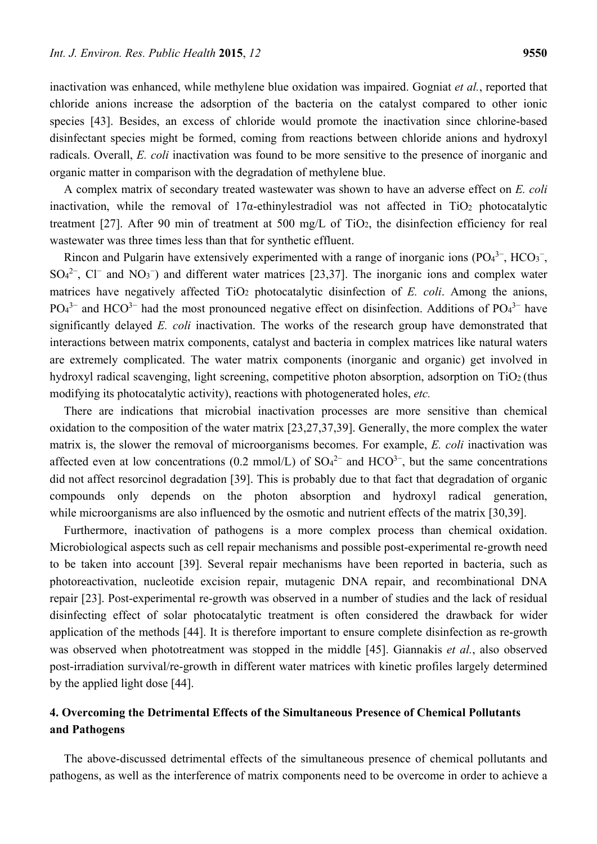inactivation was enhanced, while methylene blue oxidation was impaired. Gogniat *et al.*, reported that chloride anions increase the adsorption of the bacteria on the catalyst compared to other ionic species [43]. Besides, an excess of chloride would promote the inactivation since chlorine-based disinfectant species might be formed, coming from reactions between chloride anions and hydroxyl radicals. Overall, *E. coli* inactivation was found to be more sensitive to the presence of inorganic and organic matter in comparison with the degradation of methylene blue.

A complex matrix of secondary treated wastewater was shown to have an adverse effect on *E. coli* inactivation, while the removal of  $17\alpha$ -ethinylestradiol was not affected in TiO<sub>2</sub> photocatalytic treatment [27]. After 90 min of treatment at 500 mg/L of TiO2, the disinfection efficiency for real wastewater was three times less than that for synthetic effluent.

Rincon and Pulgarin have extensively experimented with a range of inorganic ions  $(PO<sub>4</sub><sup>3-</sup>, HCO<sub>3</sub><sup>-</sup>,$  $SO<sub>4</sub><sup>2</sup>$ , Cl<sup>−</sup> and NO<sub>3</sub><sup>-</sup>) and different water matrices [23,37]. The inorganic ions and complex water matrices have negatively affected  $TiO<sub>2</sub>$  photocatalytic disinfection of *E. coli.* Among the anions,  $PO<sub>4</sub><sup>3-</sup>$  and HCO<sup>3–</sup> had the most pronounced negative effect on disinfection. Additions of  $PO<sub>4</sub><sup>3-</sup>$  have significantly delayed *E. coli* inactivation. The works of the research group have demonstrated that interactions between matrix components, catalyst and bacteria in complex matrices like natural waters are extremely complicated. The water matrix components (inorganic and organic) get involved in hydroxyl radical scavenging, light screening, competitive photon absorption, adsorption on TiO<sub>2</sub> (thus modifying its photocatalytic activity), reactions with photogenerated holes, *etc.*

There are indications that microbial inactivation processes are more sensitive than chemical oxidation to the composition of the water matrix [23,27,37,39]. Generally, the more complex the water matrix is, the slower the removal of microorganisms becomes. For example, *E. coli* inactivation was affected even at low concentrations (0.2 mmol/L) of  $SO<sub>4</sub><sup>2-</sup>$  and  $HCO<sub>3</sub><sup>-</sup>$ , but the same concentrations did not affect resorcinol degradation [39]. This is probably due to that fact that degradation of organic compounds only depends on the photon absorption and hydroxyl radical generation, while microorganisms are also influenced by the osmotic and nutrient effects of the matrix [30,39].

Furthermore, inactivation of pathogens is a more complex process than chemical oxidation. Microbiological aspects such as cell repair mechanisms and possible post-experimental re-growth need to be taken into account [39]. Several repair mechanisms have been reported in bacteria, such as photoreactivation, nucleotide excision repair, mutagenic DNA repair, and recombinational DNA repair [23]. Post-experimental re-growth was observed in a number of studies and the lack of residual disinfecting effect of solar photocatalytic treatment is often considered the drawback for wider application of the methods [44]. It is therefore important to ensure complete disinfection as re-growth was observed when phototreatment was stopped in the middle [45]. Giannakis *et al.*, also observed post-irradiation survival/re-growth in different water matrices with kinetic profiles largely determined by the applied light dose [44].

## **4. Overcoming the Detrimental Effects of the Simultaneous Presence of Chemical Pollutants and Pathogens**

The above-discussed detrimental effects of the simultaneous presence of chemical pollutants and pathogens, as well as the interference of matrix components need to be overcome in order to achieve a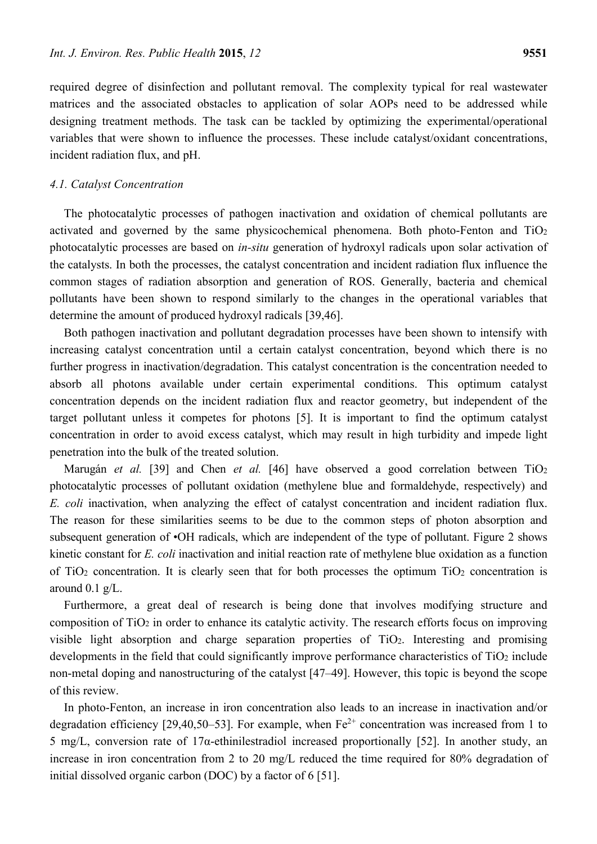required degree of disinfection and pollutant removal. The complexity typical for real wastewater matrices and the associated obstacles to application of solar AOPs need to be addressed while designing treatment methods. The task can be tackled by optimizing the experimental/operational variables that were shown to influence the processes. These include catalyst/oxidant concentrations, incident radiation flux, and pH.

#### *4.1. Catalyst Concentration*

The photocatalytic processes of pathogen inactivation and oxidation of chemical pollutants are activated and governed by the same physicochemical phenomena. Both photo-Fenton and TiO2 photocatalytic processes are based on *in-situ* generation of hydroxyl radicals upon solar activation of the catalysts. In both the processes, the catalyst concentration and incident radiation flux influence the common stages of radiation absorption and generation of ROS. Generally, bacteria and chemical pollutants have been shown to respond similarly to the changes in the operational variables that determine the amount of produced hydroxyl radicals [39,46].

Both pathogen inactivation and pollutant degradation processes have been shown to intensify with increasing catalyst concentration until a certain catalyst concentration, beyond which there is no further progress in inactivation/degradation. This catalyst concentration is the concentration needed to absorb all photons available under certain experimental conditions. This optimum catalyst concentration depends on the incident radiation flux and reactor geometry, but independent of the target pollutant unless it competes for photons [5]. It is important to find the optimum catalyst concentration in order to avoid excess catalyst, which may result in high turbidity and impede light penetration into the bulk of the treated solution.

Marugán et al. [39] and Chen et al. [46] have observed a good correlation between TiO<sub>2</sub> photocatalytic processes of pollutant oxidation (methylene blue and formaldehyde, respectively) and *E. coli* inactivation, when analyzing the effect of catalyst concentration and incident radiation flux. The reason for these similarities seems to be due to the common steps of photon absorption and subsequent generation of •OH radicals, which are independent of the type of pollutant. Figure 2 shows kinetic constant for *E. coli* inactivation and initial reaction rate of methylene blue oxidation as a function of  $TiO<sub>2</sub>$  concentration. It is clearly seen that for both processes the optimum  $TiO<sub>2</sub>$  concentration is around 0.1 g/L.

Furthermore, a great deal of research is being done that involves modifying structure and composition of TiO2 in order to enhance its catalytic activity. The research efforts focus on improving visible light absorption and charge separation properties of TiO2. Interesting and promising developments in the field that could significantly improve performance characteristics of TiO<sub>2</sub> include non-metal doping and nanostructuring of the catalyst [47–49]. However, this topic is beyond the scope of this review.

In photo-Fenton, an increase in iron concentration also leads to an increase in inactivation and/or degradation efficiency [29,40,50–53]. For example, when  $Fe^{2+}$  concentration was increased from 1 to 5 mg/L, conversion rate of 17α-ethinilestradiol increased proportionally [52]. In another study, an increase in iron concentration from 2 to 20 mg/L reduced the time required for 80% degradation of initial dissolved organic carbon (DOC) by a factor of 6 [51].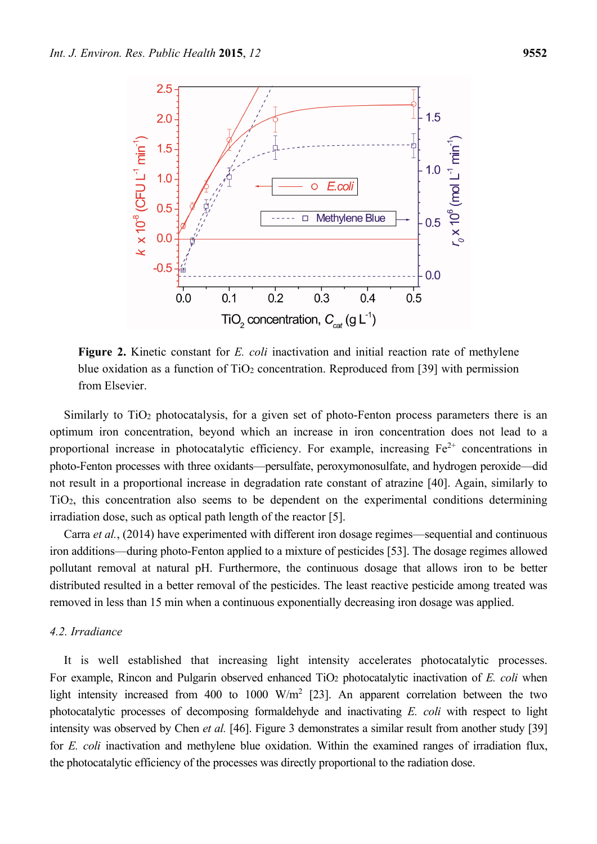

**Figure 2.** Kinetic constant for *E. coli* inactivation and initial reaction rate of methylene blue oxidation as a function of  $TiO<sub>2</sub>$  concentration. Reproduced from [39] with permission from Elsevier.

Similarly to  $TiO<sub>2</sub>$  photocatalysis, for a given set of photo-Fenton process parameters there is an optimum iron concentration, beyond which an increase in iron concentration does not lead to a proportional increase in photocatalytic efficiency. For example, increasing  $Fe^{2+}$  concentrations in photo-Fenton processes with three oxidants—persulfate, peroxymonosulfate, and hydrogen peroxide—did not result in a proportional increase in degradation rate constant of atrazine [40]. Again, similarly to TiO2, this concentration also seems to be dependent on the experimental conditions determining irradiation dose, such as optical path length of the reactor [5].

Carra *et al.*, (2014) have experimented with different iron dosage regimes—sequential and continuous iron additions—during photo-Fenton applied to a mixture of pesticides [53]. The dosage regimes allowed pollutant removal at natural pH. Furthermore, the continuous dosage that allows iron to be better distributed resulted in a better removal of the pesticides. The least reactive pesticide among treated was removed in less than 15 min when a continuous exponentially decreasing iron dosage was applied.

## *4.2. Irradiance*

It is well established that increasing light intensity accelerates photocatalytic processes. For example, Rincon and Pulgarin observed enhanced TiO<sub>2</sub> photocatalytic inactivation of *E. coli* when light intensity increased from 400 to 1000  $W/m^2$  [23]. An apparent correlation between the two photocatalytic processes of decomposing formaldehyde and inactivating *E. coli* with respect to light intensity was observed by Chen *et al.* [46]. Figure 3 demonstrates a similar result from another study [39] for *E. coli* inactivation and methylene blue oxidation. Within the examined ranges of irradiation flux, the photocatalytic efficiency of the processes was directly proportional to the radiation dose.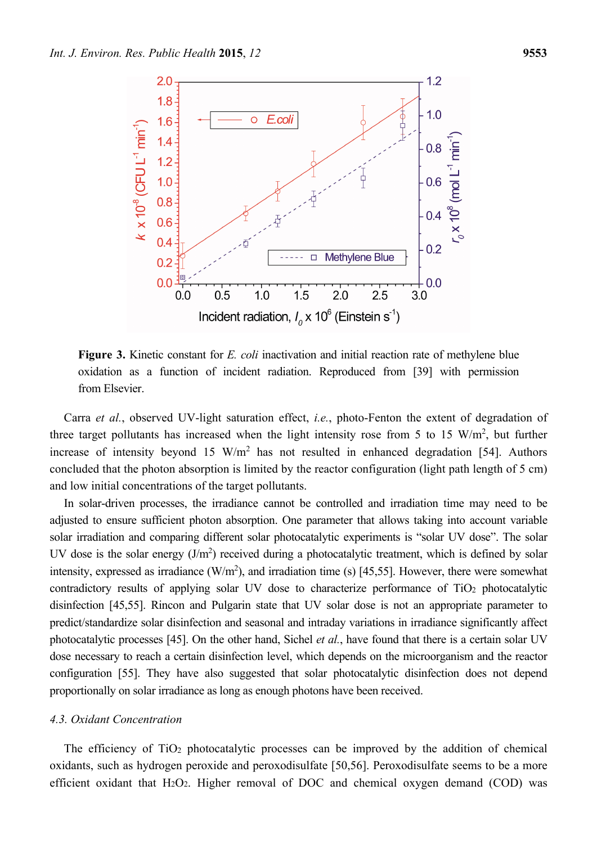

**Figure 3.** Kinetic constant for *E. coli* inactivation and initial reaction rate of methylene blue oxidation as a function of incident radiation. Reproduced from [39] with permission from Elsevier.

Carra *et al.*, observed UV-light saturation effect, *i.e.*, photo-Fenton the extent of degradation of three target pollutants has increased when the light intensity rose from 5 to 15  $W/m<sup>2</sup>$ , but further increase of intensity beyond 15  $W/m^2$  has not resulted in enhanced degradation [54]. Authors concluded that the photon absorption is limited by the reactor configuration (light path length of 5 cm) and low initial concentrations of the target pollutants.

In solar-driven processes, the irradiance cannot be controlled and irradiation time may need to be adjusted to ensure sufficient photon absorption. One parameter that allows taking into account variable solar irradiation and comparing different solar photocatalytic experiments is "solar UV dose". The solar UV dose is the solar energy  $(J/m^2)$  received during a photocatalytic treatment, which is defined by solar intensity, expressed as irradiance  $(W/m^2)$ , and irradiation time (s) [45,55]. However, there were somewhat contradictory results of applying solar UV dose to characterize performance of TiO<sub>2</sub> photocatalytic disinfection [45,55]. Rincon and Pulgarin state that UV solar dose is not an appropriate parameter to predict/standardize solar disinfection and seasonal and intraday variations in irradiance significantly affect photocatalytic processes [45]. On the other hand, Sichel *et al.*, have found that there is a certain solar UV dose necessary to reach a certain disinfection level, which depends on the microorganism and the reactor configuration [55]. They have also suggested that solar photocatalytic disinfection does not depend proportionally on solar irradiance as long as enough photons have been received.

#### *4.3. Oxidant Concentration*

The efficiency of TiO2 photocatalytic processes can be improved by the addition of chemical oxidants, such as hydrogen peroxide and peroxodisulfate [50,56]. Peroxodisulfate seems to be a more efficient oxidant that  $H_2O_2$ . Higher removal of DOC and chemical oxygen demand (COD) was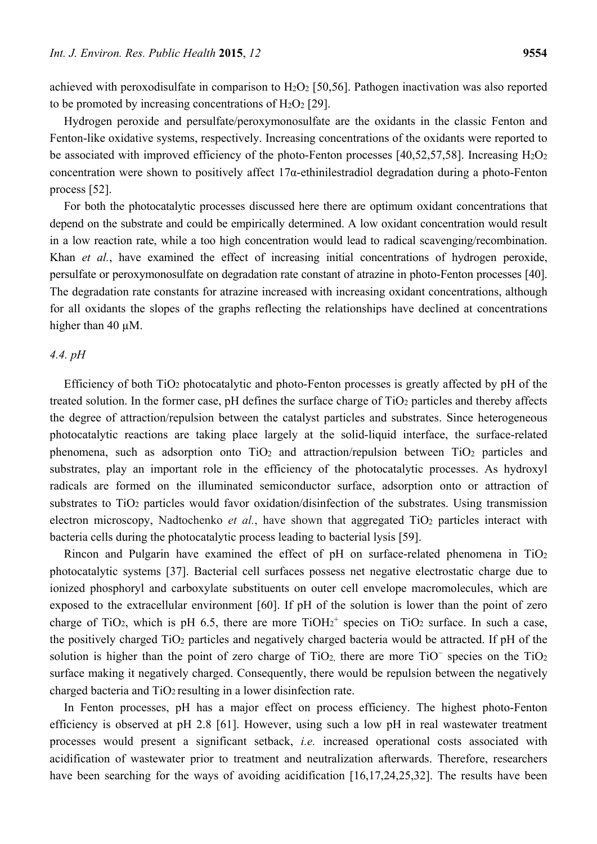achieved with peroxodisulfate in comparison to  $H_2O_2$  [50,56]. Pathogen inactivation was also reported to be promoted by increasing concentrations of  $H_2O_2$  [29].

Hydrogen peroxide and persulfate/peroxymonosulfate are the oxidants in the classic Fenton and Fenton-like oxidative systems, respectively. Increasing concentrations of the oxidants were reported to be associated with improved efficiency of the photo-Fenton processes [40,52,57,58]. Increasing  $H_2O_2$ concentration were shown to positively affect 17α-ethinilestradiol degradation during a photo-Fenton process [52].

For both the photocatalytic processes discussed here there are optimum oxidant concentrations that depend on the substrate and could be empirically determined. A low oxidant concentration would result in a low reaction rate, while a too high concentration would lead to radical scavenging/recombination. Khan *et al.*, have examined the effect of increasing initial concentrations of hydrogen peroxide, persulfate or peroxymonosulfate on degradation rate constant of atrazine in photo-Fenton processes [40]. The degradation rate constants for atrazine increased with increasing oxidant concentrations, although for all oxidants the slopes of the graphs reflecting the relationships have declined at concentrations higher than 40  $\mu$ M.

## *4.4. pH*

Efficiency of both TiO2 photocatalytic and photo-Fenton processes is greatly affected by pH of the treated solution. In the former case, pH defines the surface charge of TiO<sub>2</sub> particles and thereby affects the degree of attraction/repulsion between the catalyst particles and substrates. Since heterogeneous photocatalytic reactions are taking place largely at the solid-liquid interface, the surface-related phenomena, such as adsorption onto TiO2 and attraction/repulsion between TiO2 particles and substrates, play an important role in the efficiency of the photocatalytic processes. As hydroxyl radicals are formed on the illuminated semiconductor surface, adsorption onto or attraction of substrates to TiO<sub>2</sub> particles would favor oxidation/disinfection of the substrates. Using transmission electron microscopy, Nadtochenko *et al.*, have shown that aggregated TiO<sub>2</sub> particles interact with bacteria cells during the photocatalytic process leading to bacterial lysis [59].

Rincon and Pulgarin have examined the effect of pH on surface-related phenomena in  $TiO<sub>2</sub>$ photocatalytic systems [37]. Bacterial cell surfaces possess net negative electrostatic charge due to ionized phosphoryl and carboxylate substituents on outer cell envelope macromolecules, which are exposed to the extracellular environment [60]. If pH of the solution is lower than the point of zero charge of TiO<sub>2</sub>, which is pH 6.5, there are more  $TiOH<sub>2</sub><sup>+</sup>$  species on TiO<sub>2</sub> surface. In such a case, the positively charged TiO2 particles and negatively charged bacteria would be attracted. If pH of the solution is higher than the point of zero charge of TiO<sub>2</sub>, there are more TiO<sup>−</sup> species on the TiO<sub>2</sub> surface making it negatively charged. Consequently, there would be repulsion between the negatively charged bacteria and TiO2 resulting in a lower disinfection rate.

In Fenton processes, pH has a major effect on process efficiency. The highest photo-Fenton efficiency is observed at pH 2.8 [61]. However, using such a low pH in real wastewater treatment processes would present a significant setback, *i.e.* increased operational costs associated with acidification of wastewater prior to treatment and neutralization afterwards. Therefore, researchers have been searching for the ways of avoiding acidification [16,17,24,25,32]. The results have been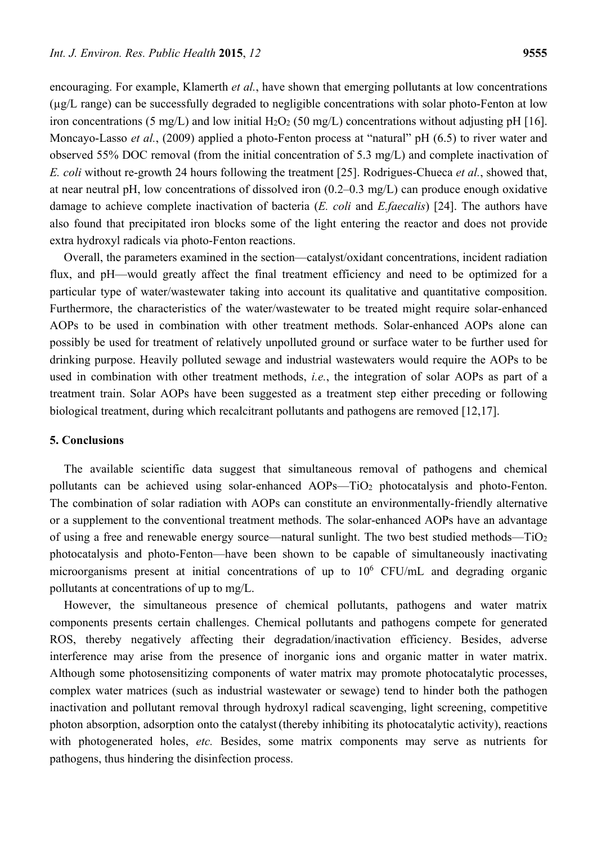encouraging. For example, Klamerth *et al.*, have shown that emerging pollutants at low concentrations (µg/L range) can be successfully degraded to negligible concentrations with solar photo-Fenton at low iron concentrations (5 mg/L) and low initial  $H_2O_2$  (50 mg/L) concentrations without adjusting pH [16]. Moncayo-Lasso *et al.*, (2009) applied a photo-Fenton process at "natural" pH (6.5) to river water and observed 55% DOC removal (from the initial concentration of 5.3 mg/L) and complete inactivation of *E. coli* without re-growth 24 hours following the treatment [25]. Rodrigues-Chueca *et al.*, showed that, at near neutral pH, low concentrations of dissolved iron (0.2–0.3 mg/L) can produce enough oxidative damage to achieve complete inactivation of bacteria (*E. coli* and *E.faecalis*) [24]. The authors have also found that precipitated iron blocks some of the light entering the reactor and does not provide extra hydroxyl radicals via photo-Fenton reactions.

Overall, the parameters examined in the section—catalyst/oxidant concentrations, incident radiation flux, and pH—would greatly affect the final treatment efficiency and need to be optimized for a particular type of water/wastewater taking into account its qualitative and quantitative composition. Furthermore, the characteristics of the water/wastewater to be treated might require solar-enhanced AOPs to be used in combination with other treatment methods. Solar-enhanced AOPs alone can possibly be used for treatment of relatively unpolluted ground or surface water to be further used for drinking purpose. Heavily polluted sewage and industrial wastewaters would require the AOPs to be used in combination with other treatment methods, *i.e.*, the integration of solar AOPs as part of a treatment train. Solar AOPs have been suggested as a treatment step either preceding or following biological treatment, during which recalcitrant pollutants and pathogens are removed [12,17].

### **5. Conclusions**

The available scientific data suggest that simultaneous removal of pathogens and chemical pollutants can be achieved using solar-enhanced AOPs—TiO2 photocatalysis and photo-Fenton. The combination of solar radiation with AOPs can constitute an environmentally-friendly alternative or a supplement to the conventional treatment methods. The solar-enhanced AOPs have an advantage of using a free and renewable energy source—natural sunlight. The two best studied methods—TiO2 photocatalysis and photo-Fenton—have been shown to be capable of simultaneously inactivating microorganisms present at initial concentrations of up to  $10^6$  CFU/mL and degrading organic pollutants at concentrations of up to mg/L.

However, the simultaneous presence of chemical pollutants, pathogens and water matrix components presents certain challenges. Chemical pollutants and pathogens compete for generated ROS, thereby negatively affecting their degradation/inactivation efficiency. Besides, adverse interference may arise from the presence of inorganic ions and organic matter in water matrix. Although some photosensitizing components of water matrix may promote photocatalytic processes, complex water matrices (such as industrial wastewater or sewage) tend to hinder both the pathogen inactivation and pollutant removal through hydroxyl radical scavenging, light screening, competitive photon absorption, adsorption onto the catalyst(thereby inhibiting its photocatalytic activity), reactions with photogenerated holes, *etc.* Besides, some matrix components may serve as nutrients for pathogens, thus hindering the disinfection process.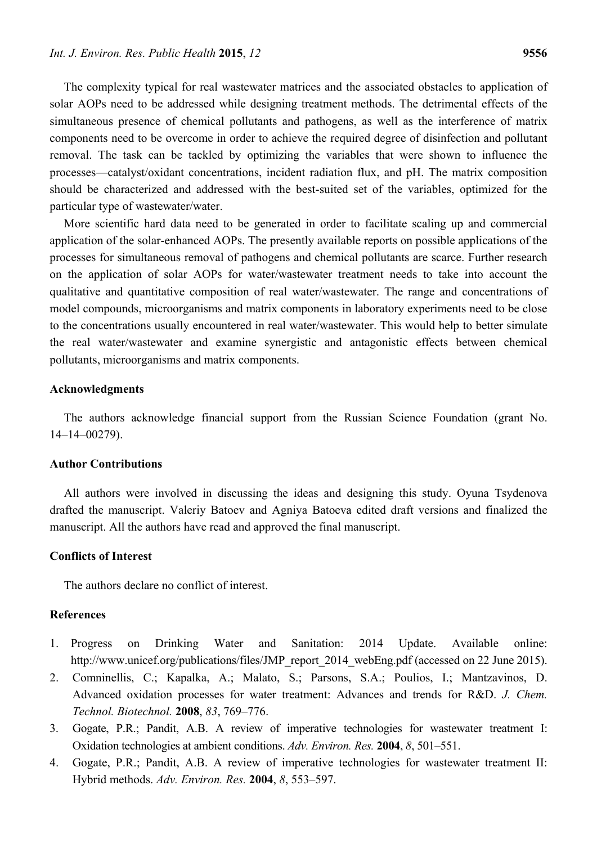The complexity typical for real wastewater matrices and the associated obstacles to application of solar AOPs need to be addressed while designing treatment methods. The detrimental effects of the simultaneous presence of chemical pollutants and pathogens, as well as the interference of matrix components need to be overcome in order to achieve the required degree of disinfection and pollutant removal. The task can be tackled by optimizing the variables that were shown to influence the processes—catalyst/oxidant concentrations, incident radiation flux, and pH. The matrix composition should be characterized and addressed with the best-suited set of the variables, optimized for the particular type of wastewater/water.

More scientific hard data need to be generated in order to facilitate scaling up and commercial application of the solar-enhanced AOPs. The presently available reports on possible applications of the processes for simultaneous removal of pathogens and chemical pollutants are scarce. Further research on the application of solar AOPs for water/wastewater treatment needs to take into account the qualitative and quantitative composition of real water/wastewater. The range and concentrations of model compounds, microorganisms and matrix components in laboratory experiments need to be close to the concentrations usually encountered in real water/wastewater. This would help to better simulate the real water/wastewater and examine synergistic and antagonistic effects between chemical pollutants, microorganisms and matrix components.

## **Acknowledgments**

The authors acknowledge financial support from the Russian Science Foundation (grant No. 14–14–00279).

#### **Author Contributions**

All authors were involved in discussing the ideas and designing this study. Oyuna Tsydenova drafted the manuscript. Valeriy Batoev and Agniya Batoeva edited draft versions and finalized the manuscript. All the authors have read and approved the final manuscript.

## **Conflicts of Interest**

The authors declare no conflict of interest.

## **References**

- 1. Progress on Drinking Water and Sanitation: 2014 Update. Available online: http://www.unicef.org/publications/files/JMP\_report\_2014\_webEng.pdf (accessed on 22 June 2015).
- 2. Comninellis, C.; Kapalka, A.; Malato, S.; Parsons, S.A.; Poulios, I.; Mantzavinos, D. Advanced oxidation processes for water treatment: Advances and trends for R&D. *J. Chem. Technol. Biotechnol.* **2008**, *83*, 769–776.
- 3. Gogate, P.R.; Pandit, A.B. A review of imperative technologies for wastewater treatment I: Oxidation technologies at ambient conditions. *Adv. Environ. Res.* **2004**, *8*, 501–551.
- 4. Gogate, P.R.; Pandit, A.B. A review of imperative technologies for wastewater treatment II: Hybrid methods. *Adv. Environ. Res.* **2004**, *8*, 553–597.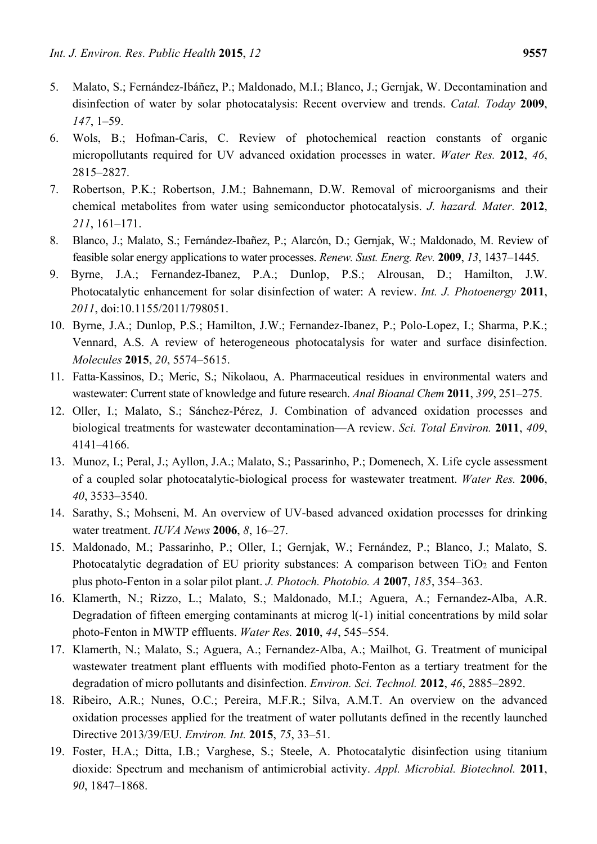- 5. Malato, S.; Fernández-Ibáñez, P.; Maldonado, M.I.; Blanco, J.; Gernjak, W. Decontamination and disinfection of water by solar photocatalysis: Recent overview and trends. *Catal. Today* **2009**, *147*, 1–59.
- 6. Wols, B.; Hofman-Caris, C. Review of photochemical reaction constants of organic micropollutants required for UV advanced oxidation processes in water. *Water Res.* **2012**, *46*, 2815–2827.
- 7. Robertson, P.K.; Robertson, J.M.; Bahnemann, D.W. Removal of microorganisms and their chemical metabolites from water using semiconductor photocatalysis. *J. hazard. Mater.* **2012**, *211*, 161–171.
- 8. Blanco, J.; Malato, S.; Fernández-Ibañez, P.; Alarcón, D.; Gernjak, W.; Maldonado, M. Review of feasible solar energy applications to water processes. *Renew. Sust. Energ. Rev.* **2009**, *13*, 1437–1445.
- 9. Byrne, J.A.; Fernandez-Ibanez, P.A.; Dunlop, P.S.; Alrousan, D.; Hamilton, J.W. Photocatalytic enhancement for solar disinfection of water: A review. *Int. J. Photoenergy* **2011**, *2011*, doi:10.1155/2011/798051.
- 10. Byrne, J.A.; Dunlop, P.S.; Hamilton, J.W.; Fernandez-Ibanez, P.; Polo-Lopez, I.; Sharma, P.K.; Vennard, A.S. A review of heterogeneous photocatalysis for water and surface disinfection. *Molecules* **2015**, *20*, 5574–5615.
- 11. Fatta-Kassinos, D.; Meric, S.; Nikolaou, A. Pharmaceutical residues in environmental waters and wastewater: Current state of knowledge and future research. *Anal Bioanal Chem* **2011**, *399*, 251–275.
- 12. Oller, I.; Malato, S.; Sánchez-Pérez, J. Combination of advanced oxidation processes and biological treatments for wastewater decontamination—A review. *Sci. Total Environ.* **2011**, *409*, 4141–4166.
- 13. Munoz, I.; Peral, J.; Ayllon, J.A.; Malato, S.; Passarinho, P.; Domenech, X. Life cycle assessment of a coupled solar photocatalytic-biological process for wastewater treatment. *Water Res.* **2006**, *40*, 3533–3540.
- 14. Sarathy, S.; Mohseni, M. An overview of UV-based advanced oxidation processes for drinking water treatment. *IUVA News* **2006**, *8*, 16–27.
- 15. Maldonado, M.; Passarinho, P.; Oller, I.; Gernjak, W.; Fernández, P.; Blanco, J.; Malato, S. Photocatalytic degradation of EU priority substances: A comparison between TiO<sub>2</sub> and Fenton plus photo-Fenton in a solar pilot plant. *J. Photoch. Photobio. A* **2007**, *185*, 354–363.
- 16. Klamerth, N.; Rizzo, L.; Malato, S.; Maldonado, M.I.; Aguera, A.; Fernandez-Alba, A.R. Degradation of fifteen emerging contaminants at microg  $l(-1)$  initial concentrations by mild solar photo-Fenton in MWTP effluents. *Water Res.* **2010**, *44*, 545–554.
- 17. Klamerth, N.; Malato, S.; Aguera, A.; Fernandez-Alba, A.; Mailhot, G. Treatment of municipal wastewater treatment plant effluents with modified photo-Fenton as a tertiary treatment for the degradation of micro pollutants and disinfection. *Environ. Sci. Technol.* **2012**, *46*, 2885–2892.
- 18. Ribeiro, A.R.; Nunes, O.C.; Pereira, M.F.R.; Silva, A.M.T. An overview on the advanced oxidation processes applied for the treatment of water pollutants defined in the recently launched Directive 2013/39/EU. *Environ. Int.* **2015**, *75*, 33–51.
- 19. Foster, H.A.; Ditta, I.B.; Varghese, S.; Steele, A. Photocatalytic disinfection using titanium dioxide: Spectrum and mechanism of antimicrobial activity. *Appl. Microbial. Biotechnol.* **2011**, *90*, 1847–1868.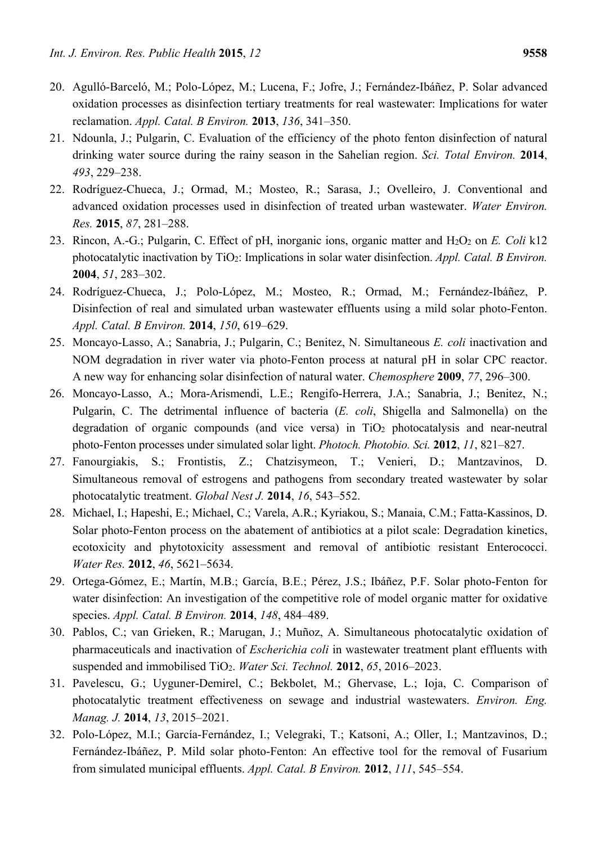- 20. Agulló-Barceló, M.; Polo-López, M.; Lucena, F.; Jofre, J.; Fernández-Ibáñez, P. Solar advanced oxidation processes as disinfection tertiary treatments for real wastewater: Implications for water reclamation. *Appl. Catal. B Environ.* **2013**, *136*, 341–350.
- 21. Ndounla, J.; Pulgarin, C. Evaluation of the efficiency of the photo fenton disinfection of natural drinking water source during the rainy season in the Sahelian region. *Sci. Total Environ.* **2014**, *493*, 229–238.
- 22. Rodríguez-Chueca, J.; Ormad, M.; Mosteo, R.; Sarasa, J.; Ovelleiro, J. Conventional and advanced oxidation processes used in disinfection of treated urban wastewater. *Water Environ. Res.* **2015**, *87*, 281–288.
- 23. Rincon, A.-G.; Pulgarin, C. Effect of pH, inorganic ions, organic matter and H2O2 on *E. Coli* k12 photocatalytic inactivation by TiO2: Implications in solar water disinfection. *Appl. Catal. B Environ.*  **2004**, *51*, 283–302.
- 24. Rodríguez-Chueca, J.; Polo-López, M.; Mosteo, R.; Ormad, M.; Fernández-Ibáñez, P. Disinfection of real and simulated urban wastewater effluents using a mild solar photo-Fenton. *Appl. Catal. B Environ.* **2014**, *150*, 619–629.
- 25. Moncayo-Lasso, A.; Sanabria, J.; Pulgarin, C.; Benitez, N. Simultaneous *E. coli* inactivation and NOM degradation in river water via photo-Fenton process at natural pH in solar CPC reactor. A new way for enhancing solar disinfection of natural water. *Chemosphere* **2009**, *77*, 296–300.
- 26. Moncayo-Lasso, A.; Mora-Arismendi, L.E.; Rengifo-Herrera, J.A.; Sanabria, J.; Benitez, N.; Pulgarin, C. The detrimental influence of bacteria (*E. coli*, Shigella and Salmonella) on the degradation of organic compounds (and vice versa) in TiO<sub>2</sub> photocatalysis and near-neutral photo-Fenton processes under simulated solar light. *Photoch. Photobio. Sci.* **2012**, *11*, 821–827.
- 27. Fanourgiakis, S.; Frontistis, Z.; Chatzisymeon, T.; Venieri, D.; Mantzavinos, D. Simultaneous removal of estrogens and pathogens from secondary treated wastewater by solar photocatalytic treatment. *Global Nest J.* **2014**, *16*, 543–552.
- 28. Michael, I.; Hapeshi, E.; Michael, C.; Varela, A.R.; Kyriakou, S.; Manaia, C.M.; Fatta-Kassinos, D. Solar photo-Fenton process on the abatement of antibiotics at a pilot scale: Degradation kinetics, ecotoxicity and phytotoxicity assessment and removal of antibiotic resistant Enterococci. *Water Res.* **2012**, *46*, 5621–5634.
- 29. Ortega-Gómez, E.; Martín, M.B.; García, B.E.; Pérez, J.S.; Ibáñez, P.F. Solar photo-Fenton for water disinfection: An investigation of the competitive role of model organic matter for oxidative species. *Appl. Catal. B Environ.* **2014**, *148*, 484–489.
- 30. Pablos, C.; van Grieken, R.; Marugan, J.; Muñoz, A. Simultaneous photocatalytic oxidation of pharmaceuticals and inactivation of *Escherichia coli* in wastewater treatment plant effluents with suspended and immobilised TiO2. *Water Sci. Technol.* **2012**, *65*, 2016–2023.
- 31. Pavelescu, G.; Uyguner-Demirel, C.; Bekbolet, M.; Ghervase, L.; Ioja, C. Comparison of photocatalytic treatment effectiveness on sewage and industrial wastewaters. *Environ. Eng. Manag. J.* **2014**, *13*, 2015–2021.
- 32. Polo-López, M.I.; García-Fernández, I.; Velegraki, T.; Katsoni, A.; Oller, I.; Mantzavinos, D.; Fernández-Ibáñez, P. Mild solar photo-Fenton: An effective tool for the removal of Fusarium from simulated municipal effluents. *Appl. Catal. B Environ.* **2012**, *111*, 545–554.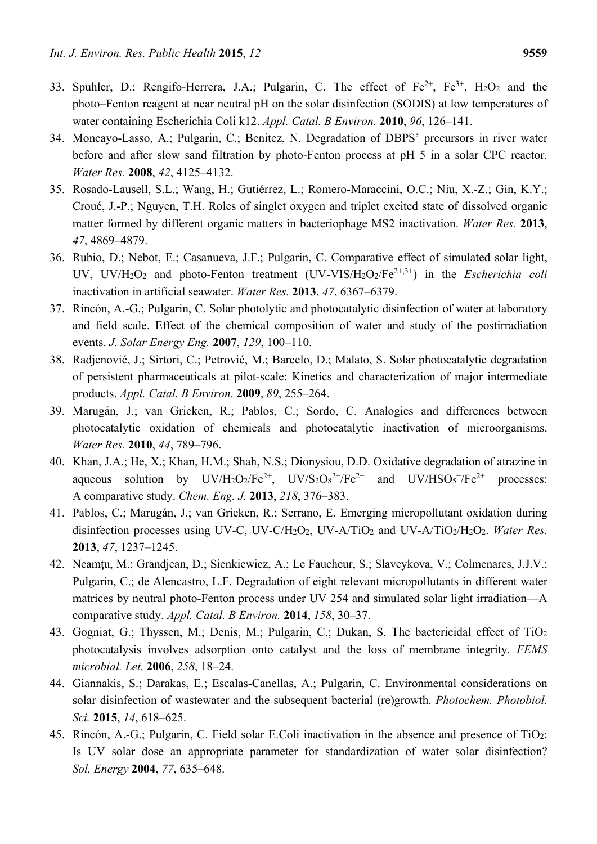- 33. Spuhler, D.; Rengifo-Herrera, J.A.; Pulgarin, C. The effect of  $Fe^{2+}$ ,  $Fe^{3+}$ ,  $H_2O_2$  and the photo–Fenton reagent at near neutral pH on the solar disinfection (SODIS) at low temperatures of water containing Escherichia Coli k12. *Appl. Catal. B Environ.* **2010**, *96*, 126–141.
- 34. Moncayo-Lasso, A.; Pulgarin, C.; Benitez, N. Degradation of DBPS' precursors in river water before and after slow sand filtration by photo-Fenton process at pH 5 in a solar CPC reactor. *Water Res.* **2008**, *42*, 4125–4132.
- 35. Rosado-Lausell, S.L.; Wang, H.; Gutiérrez, L.; Romero-Maraccini, O.C.; Niu, X.-Z.; Gin, K.Y.; Croué, J.-P.; Nguyen, T.H. Roles of singlet oxygen and triplet excited state of dissolved organic matter formed by different organic matters in bacteriophage MS2 inactivation. *Water Res.* **2013**, *47*, 4869–4879.
- 36. Rubio, D.; Nebot, E.; Casanueva, J.F.; Pulgarin, C. Comparative effect of simulated solar light, UV, UV/H<sub>2</sub>O<sub>2</sub> and photo-Fenton treatment (UV-VIS/H<sub>2</sub>O<sub>2</sub>/Fe<sup>2+,3+</sup>) in the *Escherichia coli* inactivation in artificial seawater. *Water Res.* **2013**, *47*, 6367–6379.
- 37. Rincón, A.-G.; Pulgarin, C. Solar photolytic and photocatalytic disinfection of water at laboratory and field scale. Effect of the chemical composition of water and study of the postirradiation events. *J. Solar Energy Eng.* **2007**, *129*, 100–110.
- 38. Radjenović, J.; Sirtori, C.; Petrović, M.; Barcelo, D.; Malato, S. Solar photocatalytic degradation of persistent pharmaceuticals at pilot-scale: Kinetics and characterization of major intermediate products. *Appl. Catal. B Environ.* **2009**, *89*, 255–264.
- 39. Marugán, J.; van Grieken, R.; Pablos, C.; Sordo, C. Analogies and differences between photocatalytic oxidation of chemicals and photocatalytic inactivation of microorganisms. *Water Res.* **2010**, *44*, 789–796.
- 40. Khan, J.A.; He, X.; Khan, H.M.; Shah, N.S.; Dionysiou, D.D. Oxidative degradation of atrazine in aqueous solution by  $UV/H_2O_2/Fe^{2+}$ ,  $UV/S_2O_8^{2-}$  $\angle$ /Fe<sup>2+</sup> and UV/HSO<sub>5</sub><sup>-</sup>/Fe<sup>2+</sup> processes: A comparative study. *Chem. Eng. J.* **2013**, *218*, 376–383.
- 41. Pablos, C.; Marugán, J.; van Grieken, R.; Serrano, E. Emerging micropollutant oxidation during disinfection processes using UV-C, UV-C/H<sub>2</sub>O<sub>2</sub>, UV-A/TiO<sub>2</sub> and UV-A/TiO<sub>2</sub>/H<sub>2</sub>O<sub>2</sub>. *Water Res.* **2013**, *47*, 1237–1245.
- 42. Neamţu, M.; Grandjean, D.; Sienkiewicz, A.; Le Faucheur, S.; Slaveykova, V.; Colmenares, J.J.V.; Pulgarín, C.; de Alencastro, L.F. Degradation of eight relevant micropollutants in different water matrices by neutral photo-Fenton process under UV 254 and simulated solar light irradiation—A comparative study. *Appl. Catal. B Environ.* **2014**, *158*, 30–37.
- 43. Gogniat, G.; Thyssen, M.; Denis, M.; Pulgarin, C.; Dukan, S. The bactericidal effect of TiO<sub>2</sub> photocatalysis involves adsorption onto catalyst and the loss of membrane integrity. *FEMS microbial. Let.* **2006**, *258*, 18–24.
- 44. Giannakis, S.; Darakas, E.; Escalas-Canellas, A.; Pulgarin, C. Environmental considerations on solar disinfection of wastewater and the subsequent bacterial (re)growth. *Photochem. Photobiol. Sci.* **2015**, *14*, 618–625.
- 45. Rincón, A.-G.; Pulgarin, C. Field solar E.Coli inactivation in the absence and presence of TiO2: Is UV solar dose an appropriate parameter for standardization of water solar disinfection? *Sol. Energy* **2004**, *77*, 635–648.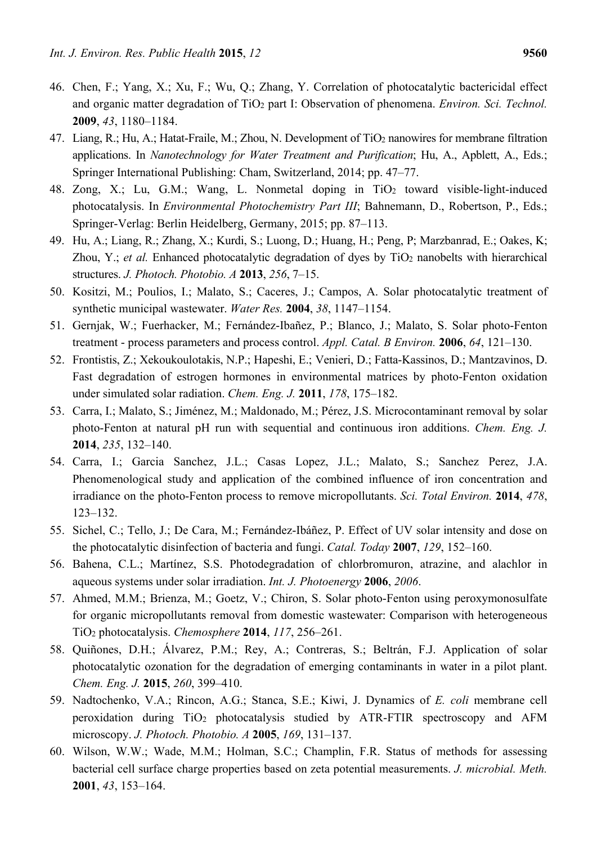- 46. Chen, F.; Yang, X.; Xu, F.; Wu, Q.; Zhang, Y. Correlation of photocatalytic bactericidal effect and organic matter degradation of TiO<sub>2</sub> part I: Observation of phenomena. *Environ. Sci. Technol.* **2009**, *43*, 1180–1184.
- 47. Liang, R.; Hu, A.; Hatat-Fraile, M.; Zhou, N. Development of TiO2 nanowires for membrane filtration applications. In *Nanotechnology for Water Treatment and Purification*; Hu, A., Apblett, A., Eds.; Springer International Publishing: Cham, Switzerland, 2014; pp. 47–77.
- 48. Zong, X.; Lu, G.M.; Wang, L. Nonmetal doping in  $TiO<sub>2</sub>$  toward visible-light-induced photocatalysis. In *Environmental Photochemistry Part III*; Bahnemann, D., Robertson, P., Eds.; Springer-Verlag: Berlin Heidelberg, Germany, 2015; pp. 87–113.
- 49. Hu, A.; Liang, R.; Zhang, X.; Kurdi, S.; Luong, D.; Huang, H.; Peng, P; Marzbanrad, E.; Oakes, K; Zhou, Y.; *et al.* Enhanced photocatalytic degradation of dyes by TiO<sub>2</sub> nanobelts with hierarchical structures. *J. Photoch. Photobio. A* **2013**, *256*, 7–15.
- 50. Kositzi, M.; Poulios, I.; Malato, S.; Caceres, J.; Campos, A. Solar photocatalytic treatment of synthetic municipal wastewater. *Water Res.* **2004**, *38*, 1147–1154.
- 51. Gernjak, W.; Fuerhacker, M.; Fernández-Ibañez, P.; Blanco, J.; Malato, S. Solar photo-Fenton treatment - process parameters and process control. *Appl. Catal. B Environ.* **2006**, *64*, 121–130.
- 52. Frontistis, Z.; Xekoukoulotakis, N.P.; Hapeshi, E.; Venieri, D.; Fatta-Kassinos, D.; Mantzavinos, D. Fast degradation of estrogen hormones in environmental matrices by photo-Fenton oxidation under simulated solar radiation. *Chem. Eng. J.* **2011**, *178*, 175–182.
- 53. Carra, I.; Malato, S.; Jiménez, M.; Maldonado, M.; Pérez, J.S. Microcontaminant removal by solar photo-Fenton at natural pH run with sequential and continuous iron additions. *Chem. Eng. J.*  **2014**, *235*, 132–140.
- 54. Carra, I.; Garcia Sanchez, J.L.; Casas Lopez, J.L.; Malato, S.; Sanchez Perez, J.A. Phenomenological study and application of the combined influence of iron concentration and irradiance on the photo-Fenton process to remove micropollutants. *Sci. Total Environ.* **2014**, *478*, 123–132.
- 55. Sichel, C.; Tello, J.; De Cara, M.; Fernández-Ibáñez, P. Effect of UV solar intensity and dose on the photocatalytic disinfection of bacteria and fungi. *Catal. Today* **2007**, *129*, 152–160.
- 56. Bahena, C.L.; Martínez, S.S. Photodegradation of chlorbromuron, atrazine, and alachlor in aqueous systems under solar irradiation. *Int. J. Photoenergy* **2006**, *2006*.
- 57. Ahmed, M.M.; Brienza, M.; Goetz, V.; Chiron, S. Solar photo-Fenton using peroxymonosulfate for organic micropollutants removal from domestic wastewater: Comparison with heterogeneous TiO2 photocatalysis. *Chemosphere* **2014**, *117*, 256–261.
- 58. Quiñones, D.H.; Álvarez, P.M.; Rey, A.; Contreras, S.; Beltrán, F.J. Application of solar photocatalytic ozonation for the degradation of emerging contaminants in water in a pilot plant. *Chem. Eng. J.* **2015**, *260*, 399–410.
- 59. Nadtochenko, V.A.; Rincon, A.G.; Stanca, S.E.; Kiwi, J. Dynamics of *E. coli* membrane cell peroxidation during TiO2 photocatalysis studied by ATR-FTIR spectroscopy and AFM microscopy. *J. Photoch. Photobio. A* **2005**, *169*, 131–137.
- 60. Wilson, W.W.; Wade, M.M.; Holman, S.C.; Champlin, F.R. Status of methods for assessing bacterial cell surface charge properties based on zeta potential measurements. *J. microbial. Meth.*  **2001**, *43*, 153–164.